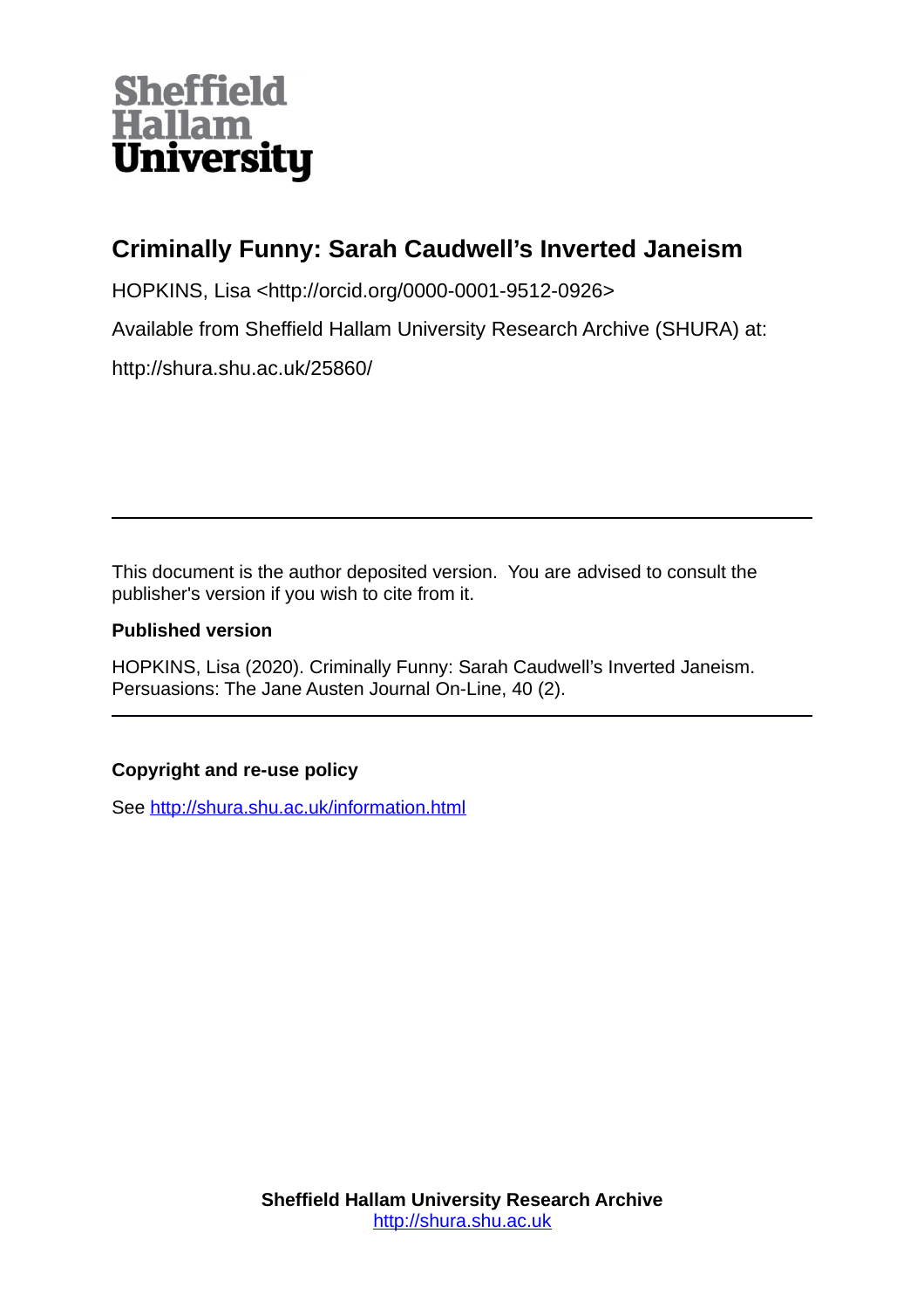# **Sheffield<br>Hallam University**

## **Criminally Funny: Sarah Caudwell's Inverted Janeism**

HOPKINS, Lisa <http://orcid.org/0000-0001-9512-0926>

Available from Sheffield Hallam University Research Archive (SHURA) at:

http://shura.shu.ac.uk/25860/

This document is the author deposited version. You are advised to consult the publisher's version if you wish to cite from it.

### **Published version**

HOPKINS, Lisa (2020). Criminally Funny: Sarah Caudwell's Inverted Janeism. Persuasions: The Jane Austen Journal On-Line, 40 (2).

## **Copyright and re-use policy**

See<http://shura.shu.ac.uk/information.html>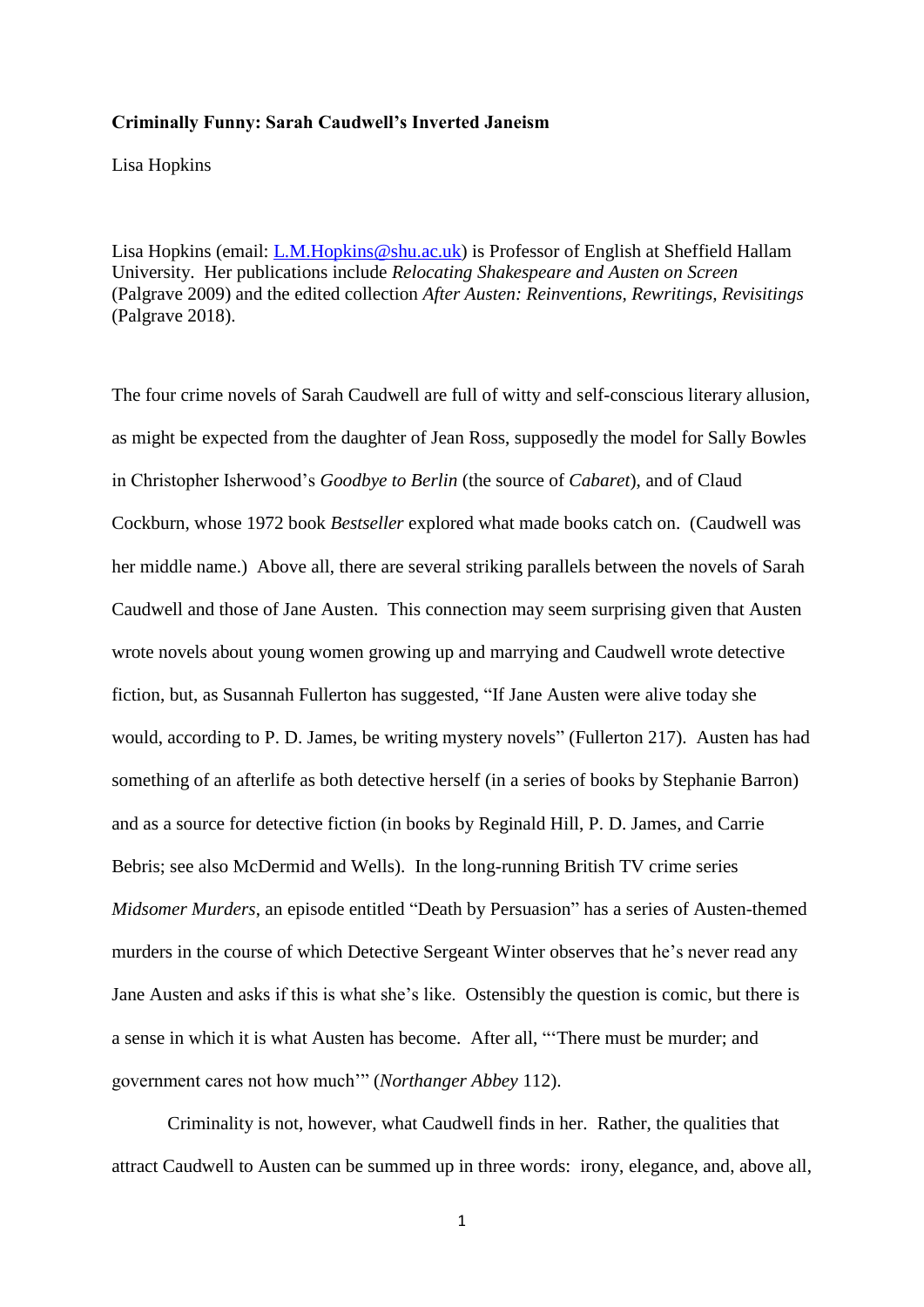#### **Criminally Funny: Sarah Caudwell's Inverted Janeism**

Lisa Hopkins

Lisa Hopkins (email: [L.M.Hopkins@shu.ac.uk\)](mailto:L.M.Hopkins@shu.ac.uk) is Professor of English at Sheffield Hallam University. Her publications include *Relocating Shakespeare and Austen on Screen* (Palgrave 2009) and the edited collection *After Austen: Reinventions, Rewritings, Revisitings* (Palgrave 2018).

The four crime novels of Sarah Caudwell are full of witty and self-conscious literary allusion, as might be expected from the daughter of Jean Ross, supposedly the model for Sally Bowles in Christopher Isherwood's *Goodbye to Berlin* (the source of *Cabaret*), and of Claud Cockburn, whose 1972 book *Bestseller* explored what made books catch on. (Caudwell was her middle name.) Above all, there are several striking parallels between the novels of Sarah Caudwell and those of Jane Austen. This connection may seem surprising given that Austen wrote novels about young women growing up and marrying and Caudwell wrote detective fiction, but, as Susannah Fullerton has suggested, "If Jane Austen were alive today she would, according to P. D. James, be writing mystery novels" (Fullerton 217). Austen has had something of an afterlife as both detective herself (in a series of books by Stephanie Barron) and as a source for detective fiction (in books by Reginald Hill, P. D. James, and Carrie Bebris; see also McDermid and Wells). In the long-running British TV crime series *Midsomer Murders*, an episode entitled "Death by Persuasion" has a series of Austen-themed murders in the course of which Detective Sergeant Winter observes that he's never read any Jane Austen and asks if this is what she's like. Ostensibly the question is comic, but there is a sense in which it is what Austen has become. After all, "'There must be murder; and government cares not how much'" (*Northanger Abbey* 112).

Criminality is not, however, what Caudwell finds in her. Rather, the qualities that attract Caudwell to Austen can be summed up in three words: irony, elegance, and, above all,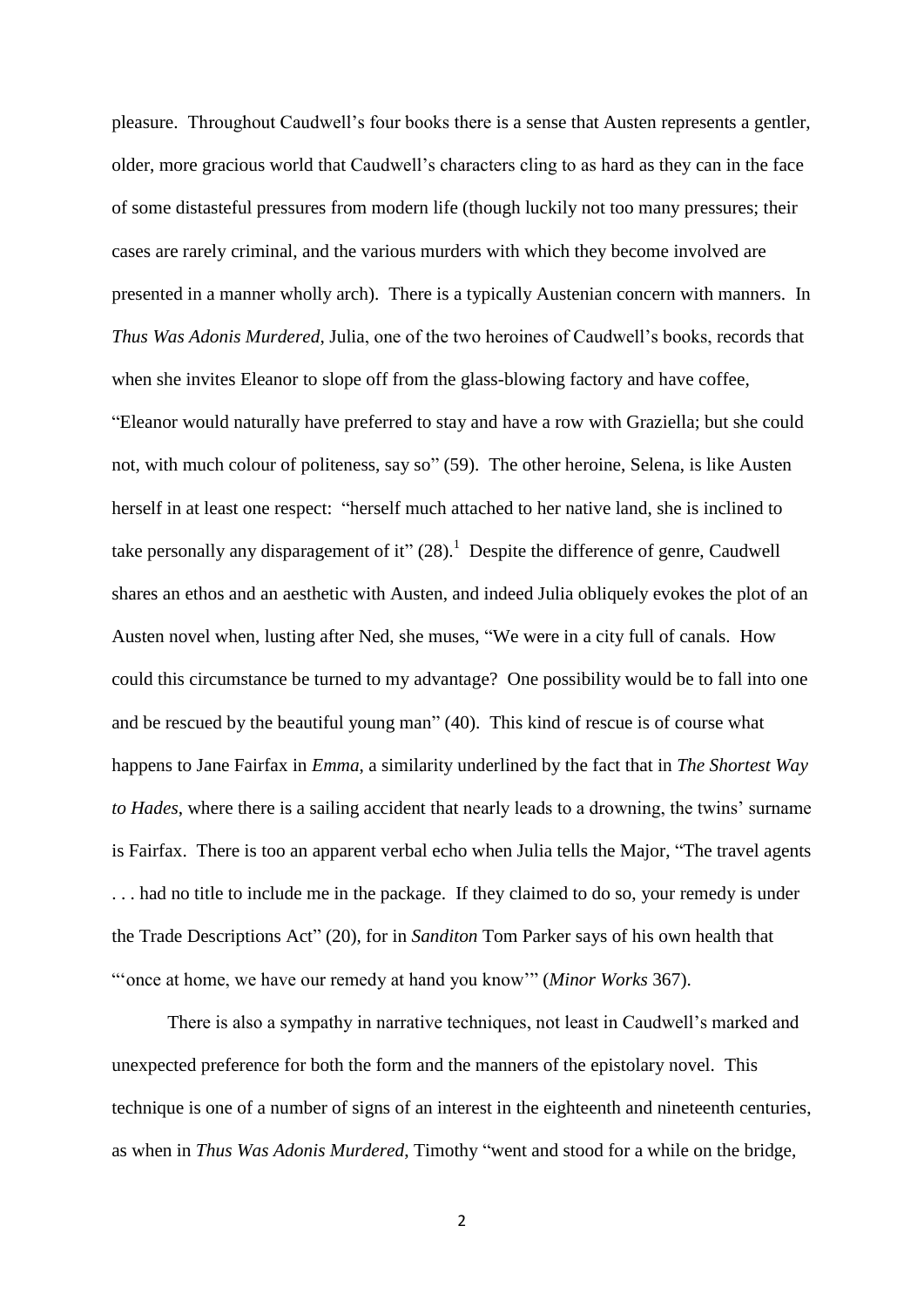pleasure. Throughout Caudwell's four books there is a sense that Austen represents a gentler, older, more gracious world that Caudwell's characters cling to as hard as they can in the face of some distasteful pressures from modern life (though luckily not too many pressures; their cases are rarely criminal, and the various murders with which they become involved are presented in a manner wholly arch). There is a typically Austenian concern with manners. In *Thus Was Adonis Murdered*, Julia, one of the two heroines of Caudwell's books, records that when she invites Eleanor to slope off from the glass-blowing factory and have coffee, "Eleanor would naturally have preferred to stay and have a row with Graziella; but she could not, with much colour of politeness, say so" (59). The other heroine, Selena, is like Austen herself in at least one respect: "herself much attached to her native land, she is inclined to take personally any disparagement of it"  $(28)$ .<sup>1</sup> Despite the difference of genre, Caudwell shares an ethos and an aesthetic with Austen, and indeed Julia obliquely evokes the plot of an Austen novel when, lusting after Ned, she muses, "We were in a city full of canals. How could this circumstance be turned to my advantage? One possibility would be to fall into one and be rescued by the beautiful young man" (40). This kind of rescue is of course what happens to Jane Fairfax in *Emma*, a similarity underlined by the fact that in *The Shortest Way to Hades*, where there is a sailing accident that nearly leads to a drowning, the twins' surname is Fairfax. There is too an apparent verbal echo when Julia tells the Major, "The travel agents . . . had no title to include me in the package. If they claimed to do so, your remedy is under the Trade Descriptions Act" (20), for in *Sanditon* Tom Parker says of his own health that "'once at home, we have our remedy at hand you know'" (*Minor Works* 367).

There is also a sympathy in narrative techniques, not least in Caudwell's marked and unexpected preference for both the form and the manners of the epistolary novel. This technique is one of a number of signs of an interest in the eighteenth and nineteenth centuries, as when in *Thus Was Adonis Murdered*, Timothy "went and stood for a while on the bridge,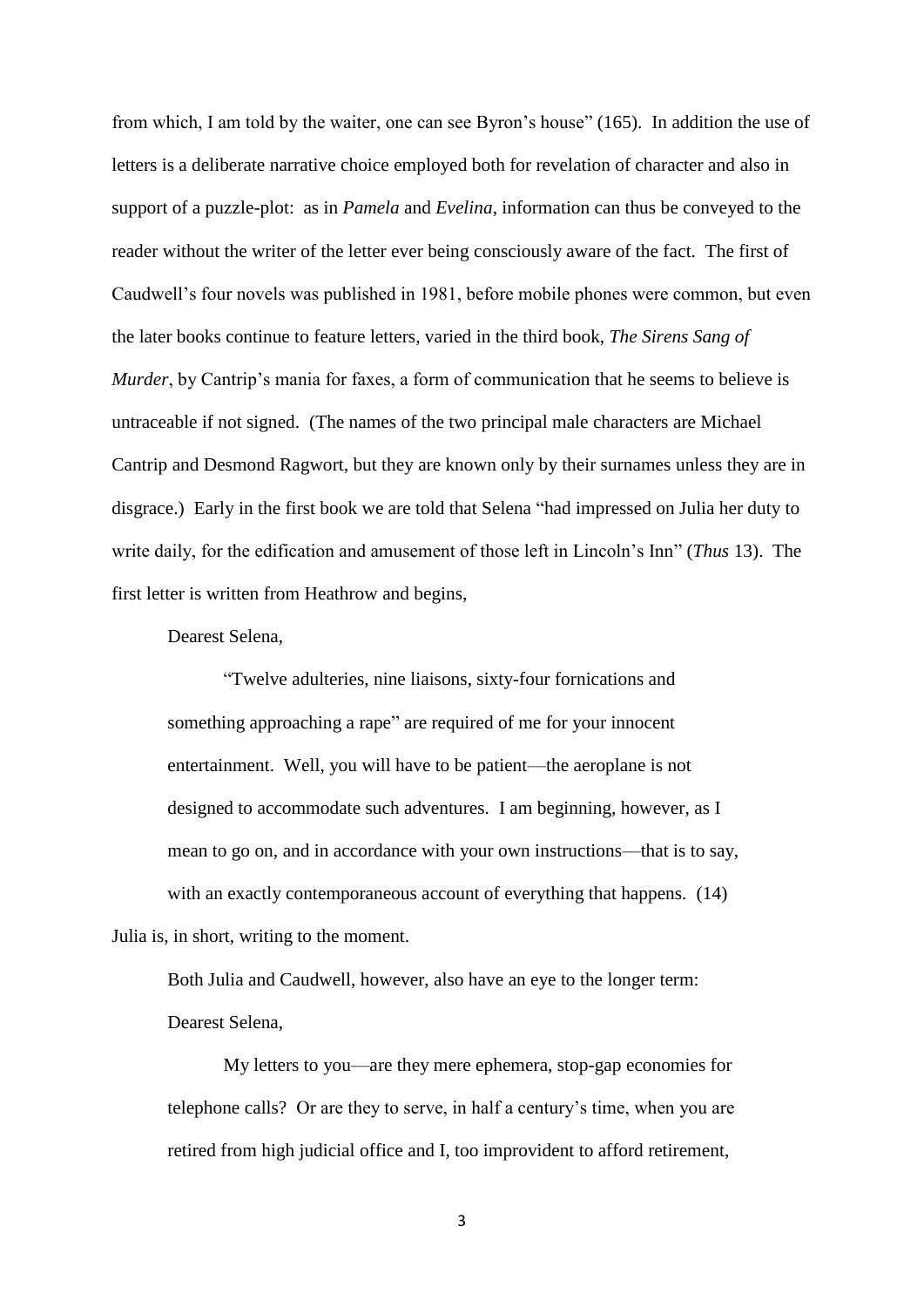from which, I am told by the waiter, one can see Byron's house" (165). In addition the use of letters is a deliberate narrative choice employed both for revelation of character and also in support of a puzzle-plot: as in *Pamela* and *Evelina*, information can thus be conveyed to the reader without the writer of the letter ever being consciously aware of the fact. The first of Caudwell's four novels was published in 1981, before mobile phones were common, but even the later books continue to feature letters, varied in the third book, *The Sirens Sang of Murder*, by Cantrip's mania for faxes, a form of communication that he seems to believe is untraceable if not signed. (The names of the two principal male characters are Michael Cantrip and Desmond Ragwort, but they are known only by their surnames unless they are in disgrace.) Early in the first book we are told that Selena "had impressed on Julia her duty to write daily, for the edification and amusement of those left in Lincoln's Inn" (*Thus* 13). The first letter is written from Heathrow and begins,

Dearest Selena,

"Twelve adulteries, nine liaisons, sixty-four fornications and something approaching a rape" are required of me for your innocent entertainment. Well, you will have to be patient—the aeroplane is not designed to accommodate such adventures. I am beginning, however, as I mean to go on, and in accordance with your own instructions—that is to say, with an exactly contemporaneous account of everything that happens. (14) Julia is, in short, writing to the moment.

Both Julia and Caudwell, however, also have an eye to the longer term: Dearest Selena,

My letters to you—are they mere ephemera, stop-gap economies for telephone calls? Or are they to serve, in half a century's time, when you are retired from high judicial office and I, too improvident to afford retirement,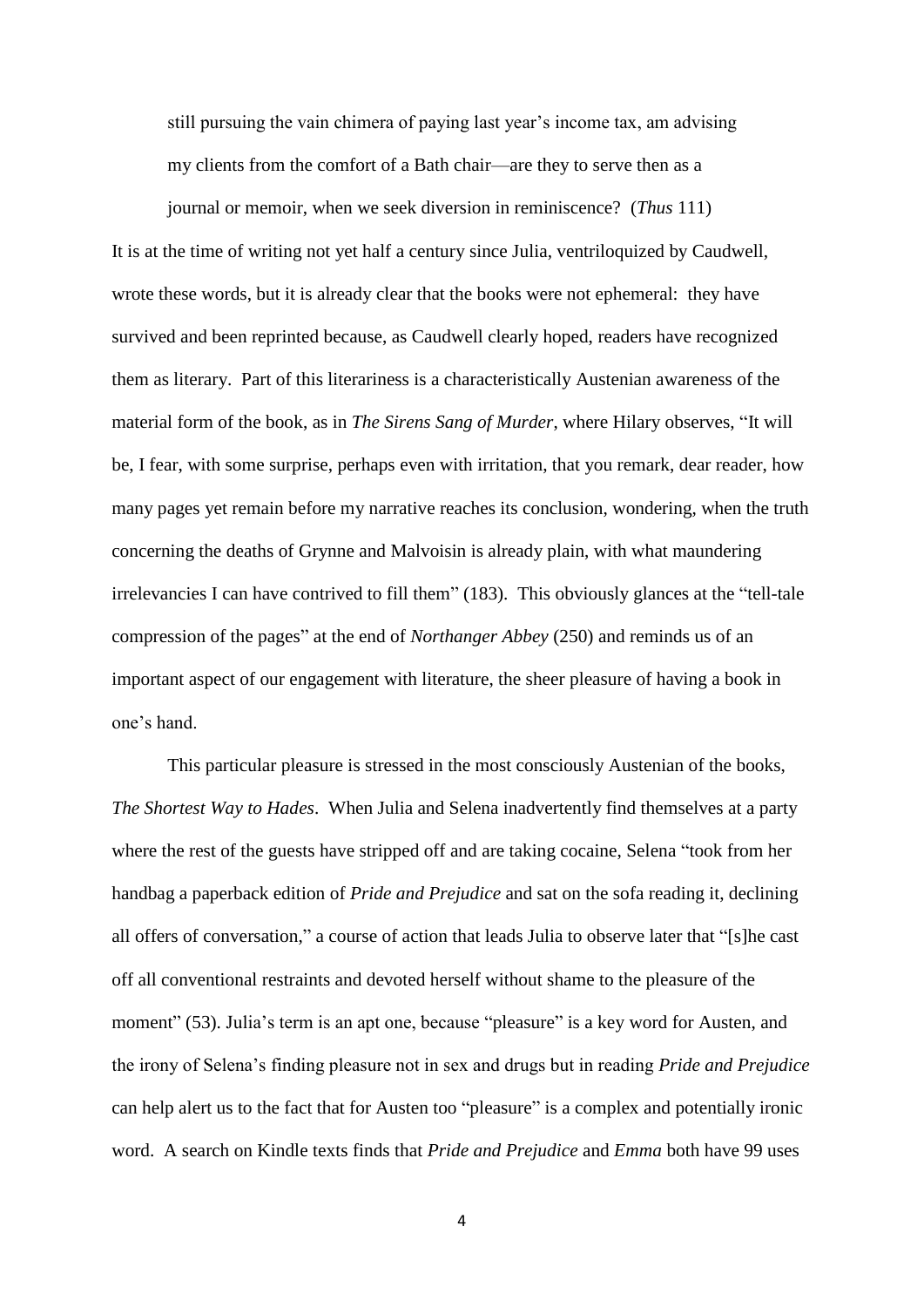still pursuing the vain chimera of paying last year's income tax, am advising my clients from the comfort of a Bath chair—are they to serve then as a

journal or memoir, when we seek diversion in reminiscence? (*Thus* 111)

It is at the time of writing not yet half a century since Julia, ventriloquized by Caudwell, wrote these words, but it is already clear that the books were not ephemeral: they have survived and been reprinted because, as Caudwell clearly hoped, readers have recognized them as literary. Part of this literariness is a characteristically Austenian awareness of the material form of the book, as in *The Sirens Sang of Murder*, where Hilary observes, "It will be, I fear, with some surprise, perhaps even with irritation, that you remark, dear reader, how many pages yet remain before my narrative reaches its conclusion, wondering, when the truth concerning the deaths of Grynne and Malvoisin is already plain, with what maundering irrelevancies I can have contrived to fill them" (183). This obviously glances at the "tell-tale compression of the pages" at the end of *Northanger Abbey* (250) and reminds us of an important aspect of our engagement with literature, the sheer pleasure of having a book in one's hand.

This particular pleasure is stressed in the most consciously Austenian of the books, *The Shortest Way to Hades*. When Julia and Selena inadvertently find themselves at a party where the rest of the guests have stripped off and are taking cocaine, Selena "took from her handbag a paperback edition of *Pride and Prejudice* and sat on the sofa reading it, declining all offers of conversation," a course of action that leads Julia to observe later that "[s]he cast off all conventional restraints and devoted herself without shame to the pleasure of the moment" (53). Julia's term is an apt one, because "pleasure" is a key word for Austen, and the irony of Selena's finding pleasure not in sex and drugs but in reading *Pride and Prejudice* can help alert us to the fact that for Austen too "pleasure" is a complex and potentially ironic word. A search on Kindle texts finds that *Pride and Prejudice* and *Emma* both have 99 uses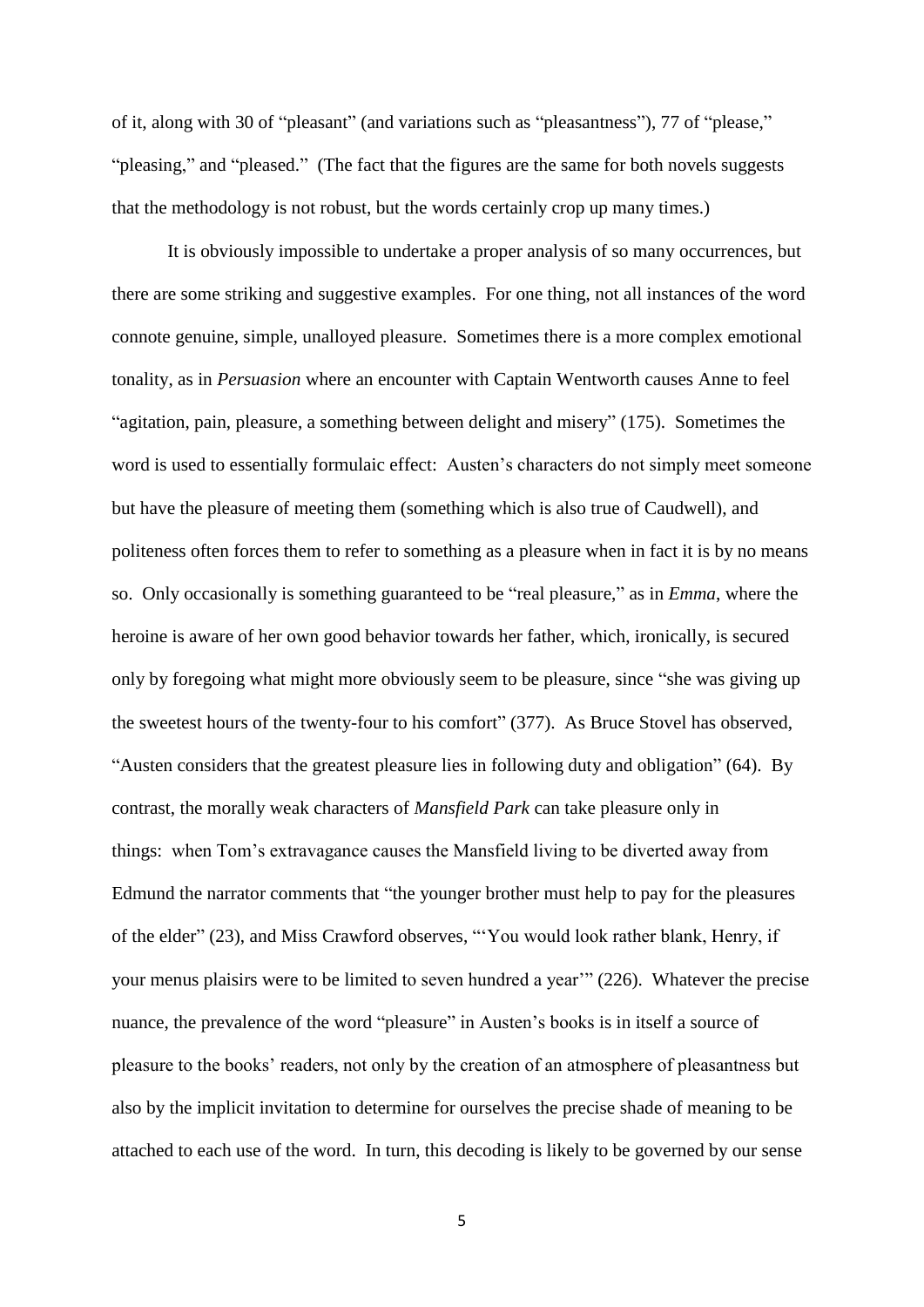of it, along with 30 of "pleasant" (and variations such as "pleasantness"), 77 of "please," "pleasing," and "pleased." (The fact that the figures are the same for both novels suggests that the methodology is not robust, but the words certainly crop up many times.)

It is obviously impossible to undertake a proper analysis of so many occurrences, but there are some striking and suggestive examples. For one thing, not all instances of the word connote genuine, simple, unalloyed pleasure. Sometimes there is a more complex emotional tonality, as in *Persuasion* where an encounter with Captain Wentworth causes Anne to feel "agitation, pain, pleasure, a something between delight and misery" (175). Sometimes the word is used to essentially formulaic effect: Austen's characters do not simply meet someone but have the pleasure of meeting them (something which is also true of Caudwell), and politeness often forces them to refer to something as a pleasure when in fact it is by no means so. Only occasionally is something guaranteed to be "real pleasure," as in *Emma*, where the heroine is aware of her own good behavior towards her father, which, ironically, is secured only by foregoing what might more obviously seem to be pleasure, since "she was giving up the sweetest hours of the twenty-four to his comfort" (377). As Bruce Stovel has observed, "Austen considers that the greatest pleasure lies in following duty and obligation" (64). By contrast, the morally weak characters of *Mansfield Park* can take pleasure only in things: when Tom's extravagance causes the Mansfield living to be diverted away from Edmund the narrator comments that "the younger brother must help to pay for the pleasures of the elder" (23), and Miss Crawford observes, "'You would look rather blank, Henry, if your menus plaisirs were to be limited to seven hundred a year'" (226). Whatever the precise nuance, the prevalence of the word "pleasure" in Austen's books is in itself a source of pleasure to the books' readers, not only by the creation of an atmosphere of pleasantness but also by the implicit invitation to determine for ourselves the precise shade of meaning to be attached to each use of the word. In turn, this decoding is likely to be governed by our sense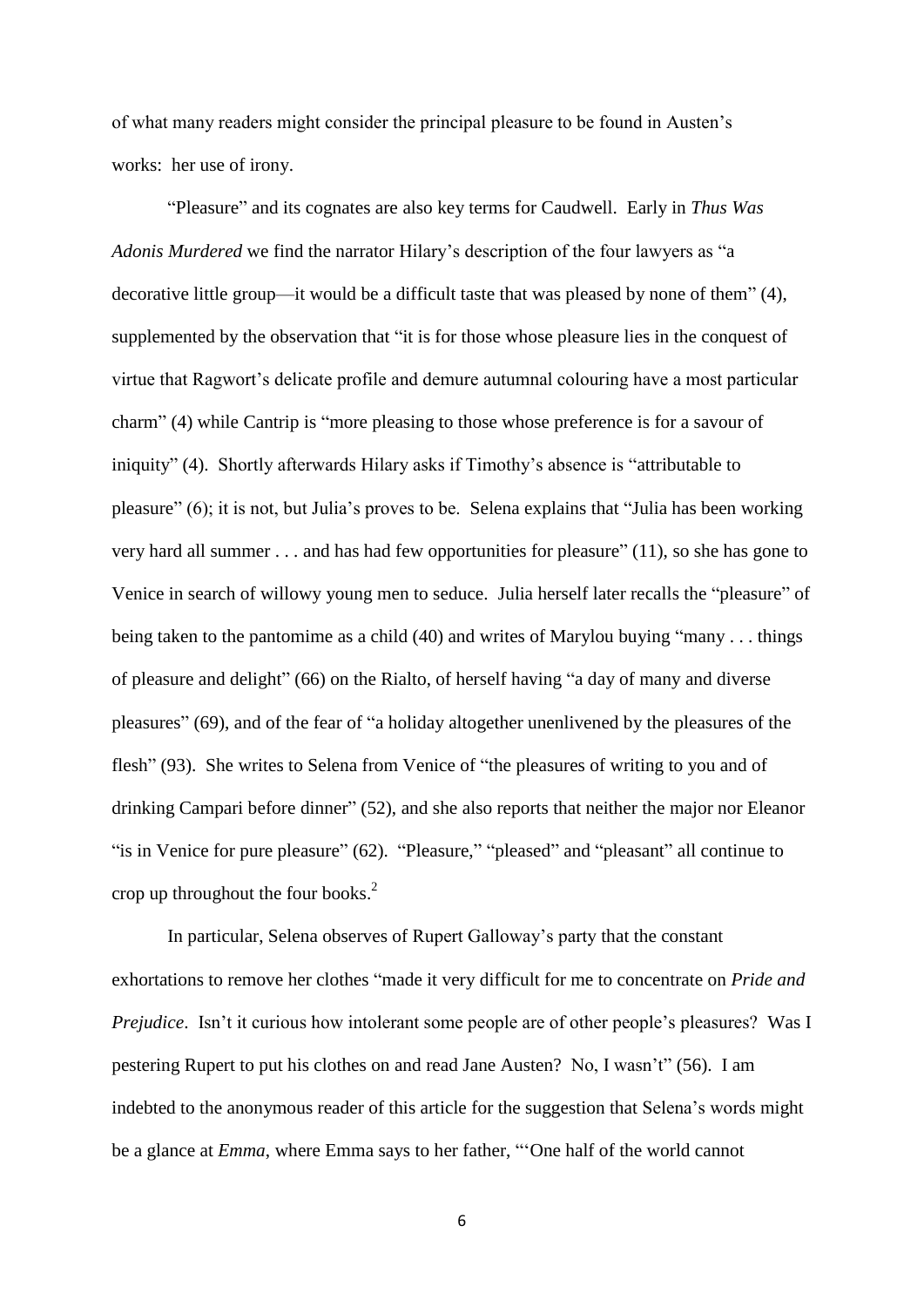of what many readers might consider the principal pleasure to be found in Austen's works: her use of irony.

"Pleasure" and its cognates are also key terms for Caudwell. Early in *Thus Was Adonis Murdered* we find the narrator Hilary's description of the four lawyers as "a decorative little group—it would be a difficult taste that was pleased by none of them" (4), supplemented by the observation that "it is for those whose pleasure lies in the conquest of virtue that Ragwort's delicate profile and demure autumnal colouring have a most particular charm" (4) while Cantrip is "more pleasing to those whose preference is for a savour of iniquity" (4). Shortly afterwards Hilary asks if Timothy's absence is "attributable to pleasure" (6); it is not, but Julia's proves to be. Selena explains that "Julia has been working very hard all summer . . . and has had few opportunities for pleasure" (11), so she has gone to Venice in search of willowy young men to seduce. Julia herself later recalls the "pleasure" of being taken to the pantomime as a child (40) and writes of Marylou buying "many . . . things of pleasure and delight" (66) on the Rialto, of herself having "a day of many and diverse pleasures" (69), and of the fear of "a holiday altogether unenlivened by the pleasures of the flesh" (93). She writes to Selena from Venice of "the pleasures of writing to you and of drinking Campari before dinner" (52), and she also reports that neither the major nor Eleanor "is in Venice for pure pleasure" (62). "Pleasure," "pleased" and "pleasant" all continue to crop up throughout the four books. 2

In particular, Selena observes of Rupert Galloway's party that the constant exhortations to remove her clothes "made it very difficult for me to concentrate on *Pride and Prejudice.* Isn't it curious how intolerant some people are of other people's pleasures? Was I pestering Rupert to put his clothes on and read Jane Austen? No, I wasn't" (56). I am indebted to the anonymous reader of this article for the suggestion that Selena's words might be a glance at *Emma*, where Emma says to her father, "'One half of the world cannot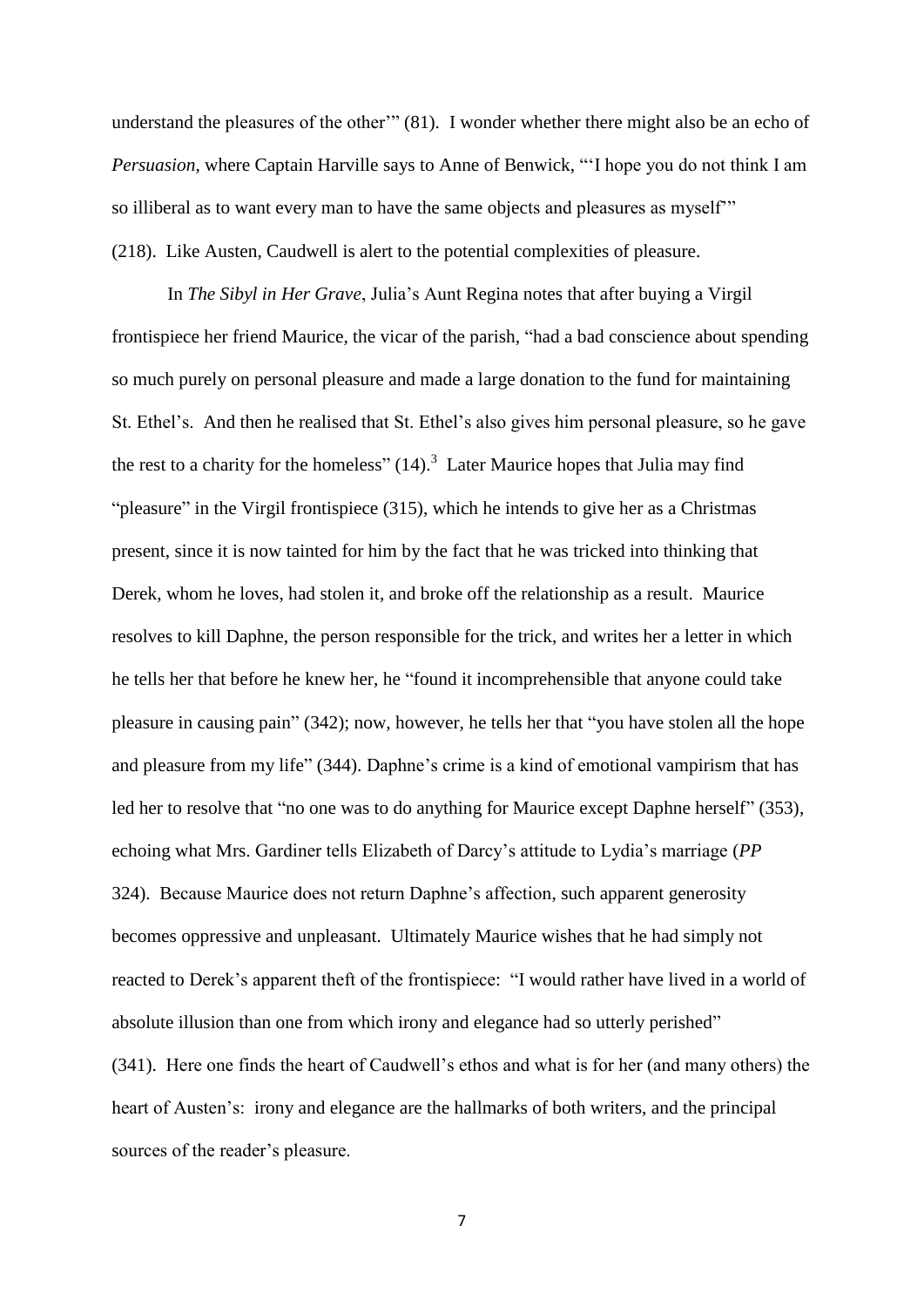understand the pleasures of the other'" (81). I wonder whether there might also be an echo of *Persuasion*, where Captain Harville says to Anne of Benwick, "'I hope you do not think I am so illiberal as to want every man to have the same objects and pleasures as myself'" (218). Like Austen, Caudwell is alert to the potential complexities of pleasure.

In *The Sibyl in Her Grave*, Julia's Aunt Regina notes that after buying a Virgil frontispiece her friend Maurice, the vicar of the parish, "had a bad conscience about spending so much purely on personal pleasure and made a large donation to the fund for maintaining St. Ethel's. And then he realised that St. Ethel's also gives him personal pleasure, so he gave the rest to a charity for the homeless"  $(14)$ .<sup>3</sup> Later Maurice hopes that Julia may find "pleasure" in the Virgil frontispiece (315), which he intends to give her as a Christmas present, since it is now tainted for him by the fact that he was tricked into thinking that Derek, whom he loves, had stolen it, and broke off the relationship as a result. Maurice resolves to kill Daphne, the person responsible for the trick, and writes her a letter in which he tells her that before he knew her, he "found it incomprehensible that anyone could take pleasure in causing pain" (342); now, however, he tells her that "you have stolen all the hope and pleasure from my life" (344). Daphne's crime is a kind of emotional vampirism that has led her to resolve that "no one was to do anything for Maurice except Daphne herself" (353), echoing what Mrs. Gardiner tells Elizabeth of Darcy's attitude to Lydia's marriage (*PP* 324). Because Maurice does not return Daphne's affection, such apparent generosity becomes oppressive and unpleasant. Ultimately Maurice wishes that he had simply not reacted to Derek's apparent theft of the frontispiece: "I would rather have lived in a world of absolute illusion than one from which irony and elegance had so utterly perished" (341). Here one finds the heart of Caudwell's ethos and what is for her (and many others) the heart of Austen's: irony and elegance are the hallmarks of both writers, and the principal sources of the reader's pleasure.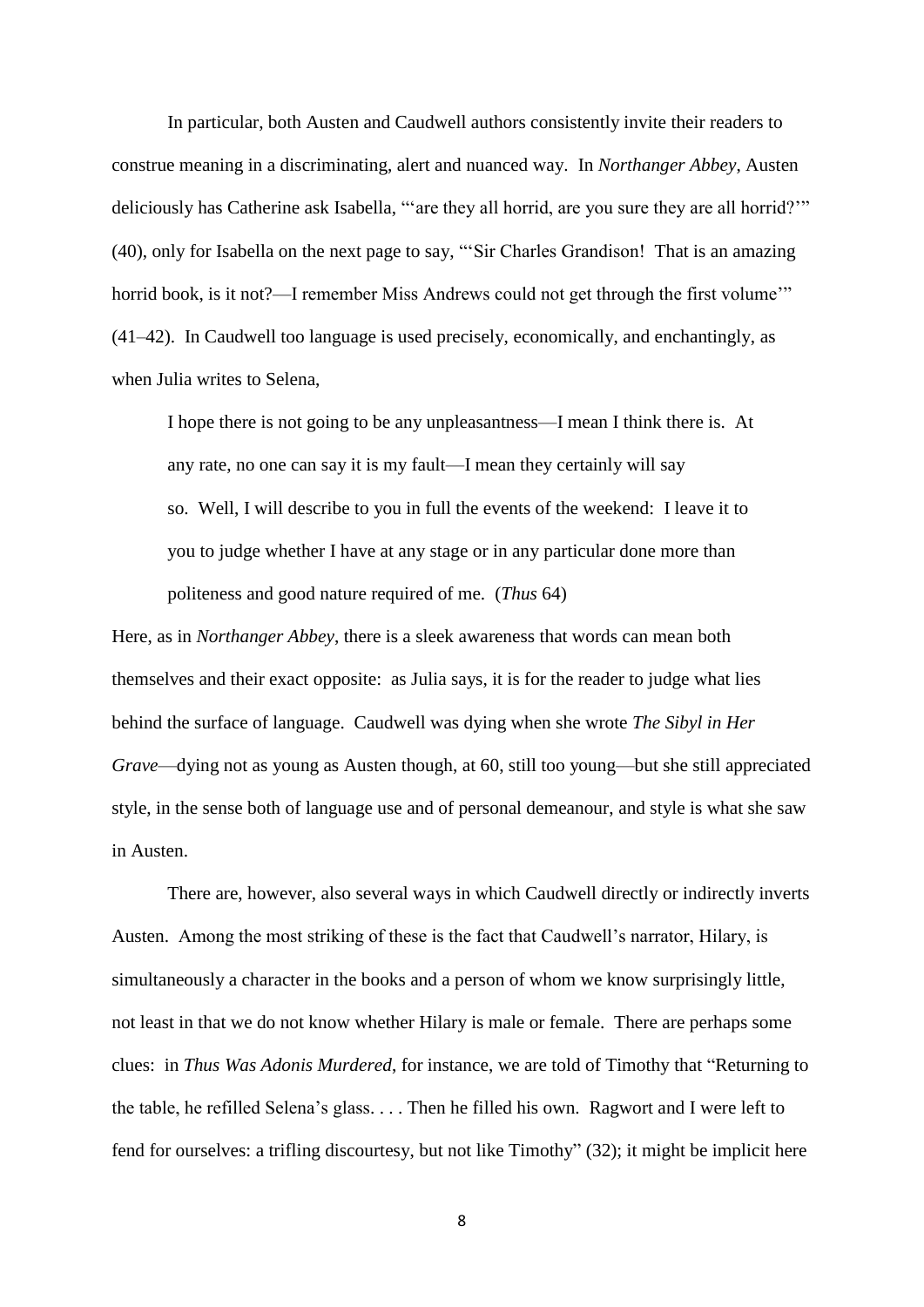In particular, both Austen and Caudwell authors consistently invite their readers to construe meaning in a discriminating, alert and nuanced way. In *Northanger Abbey*, Austen deliciously has Catherine ask Isabella, "'are they all horrid, are you sure they are all horrid?'" (40), only for Isabella on the next page to say, "'Sir Charles Grandison! That is an amazing horrid book, is it not?—I remember Miss Andrews could not get through the first volume" (41–42). In Caudwell too language is used precisely, economically, and enchantingly, as when Julia writes to Selena,

I hope there is not going to be any unpleasantness—I mean I think there is. At any rate, no one can say it is my fault—I mean they certainly will say so. Well, I will describe to you in full the events of the weekend: I leave it to you to judge whether I have at any stage or in any particular done more than politeness and good nature required of me. (*Thus* 64)

Here, as in *Northanger Abbey*, there is a sleek awareness that words can mean both themselves and their exact opposite: as Julia says, it is for the reader to judge what lies behind the surface of language. Caudwell was dying when she wrote *The Sibyl in Her Grave*—dying not as young as Austen though, at 60, still too young—but she still appreciated style, in the sense both of language use and of personal demeanour, and style is what she saw in Austen.

There are, however, also several ways in which Caudwell directly or indirectly inverts Austen. Among the most striking of these is the fact that Caudwell's narrator, Hilary, is simultaneously a character in the books and a person of whom we know surprisingly little, not least in that we do not know whether Hilary is male or female. There are perhaps some clues: in *Thus Was Adonis Murdered*, for instance, we are told of Timothy that "Returning to the table, he refilled Selena's glass. . . . Then he filled his own. Ragwort and I were left to fend for ourselves: a trifling discourtesy, but not like Timothy" (32); it might be implicit here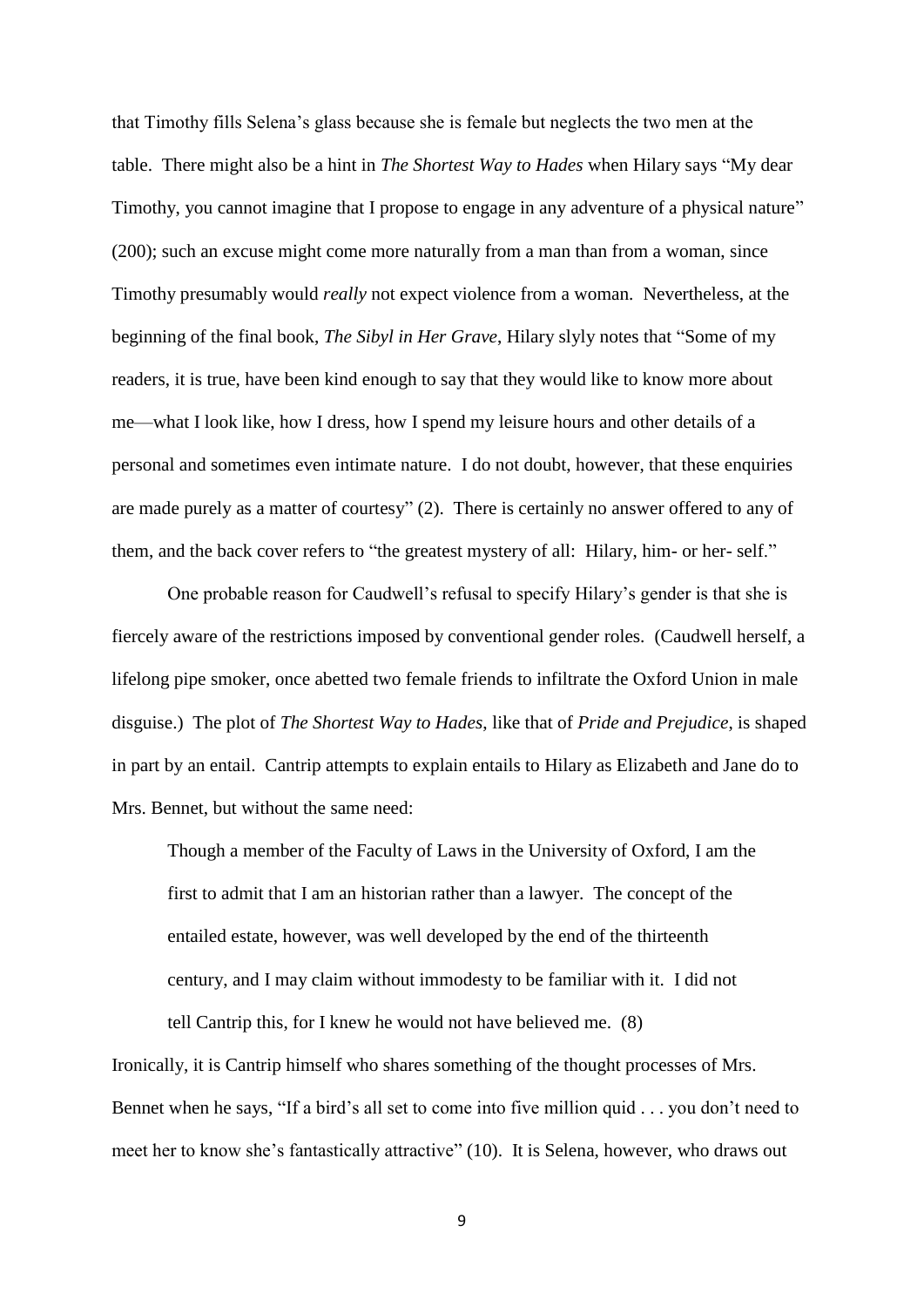that Timothy fills Selena's glass because she is female but neglects the two men at the table. There might also be a hint in *The Shortest Way to Hades* when Hilary says "My dear Timothy, you cannot imagine that I propose to engage in any adventure of a physical nature" (200); such an excuse might come more naturally from a man than from a woman, since Timothy presumably would *really* not expect violence from a woman. Nevertheless, at the beginning of the final book, *The Sibyl in Her Grave*, Hilary slyly notes that "Some of my readers, it is true, have been kind enough to say that they would like to know more about me—what I look like, how I dress, how I spend my leisure hours and other details of a personal and sometimes even intimate nature. I do not doubt, however, that these enquiries are made purely as a matter of courtesy" (2). There is certainly no answer offered to any of them, and the back cover refers to "the greatest mystery of all: Hilary, him- or her- self."

One probable reason for Caudwell's refusal to specify Hilary's gender is that she is fiercely aware of the restrictions imposed by conventional gender roles. (Caudwell herself, a lifelong pipe smoker, once abetted two female friends to infiltrate the Oxford Union in male disguise.) The plot of *The Shortest Way to Hades*, like that of *Pride and Prejudice*, is shaped in part by an entail. Cantrip attempts to explain entails to Hilary as Elizabeth and Jane do to Mrs. Bennet, but without the same need:

Though a member of the Faculty of Laws in the University of Oxford, I am the first to admit that I am an historian rather than a lawyer. The concept of the entailed estate, however, was well developed by the end of the thirteenth century, and I may claim without immodesty to be familiar with it. I did not

tell Cantrip this, for I knew he would not have believed me. (8)

Ironically, it is Cantrip himself who shares something of the thought processes of Mrs. Bennet when he says, "If a bird's all set to come into five million quid . . . you don't need to meet her to know she's fantastically attractive" (10). It is Selena, however, who draws out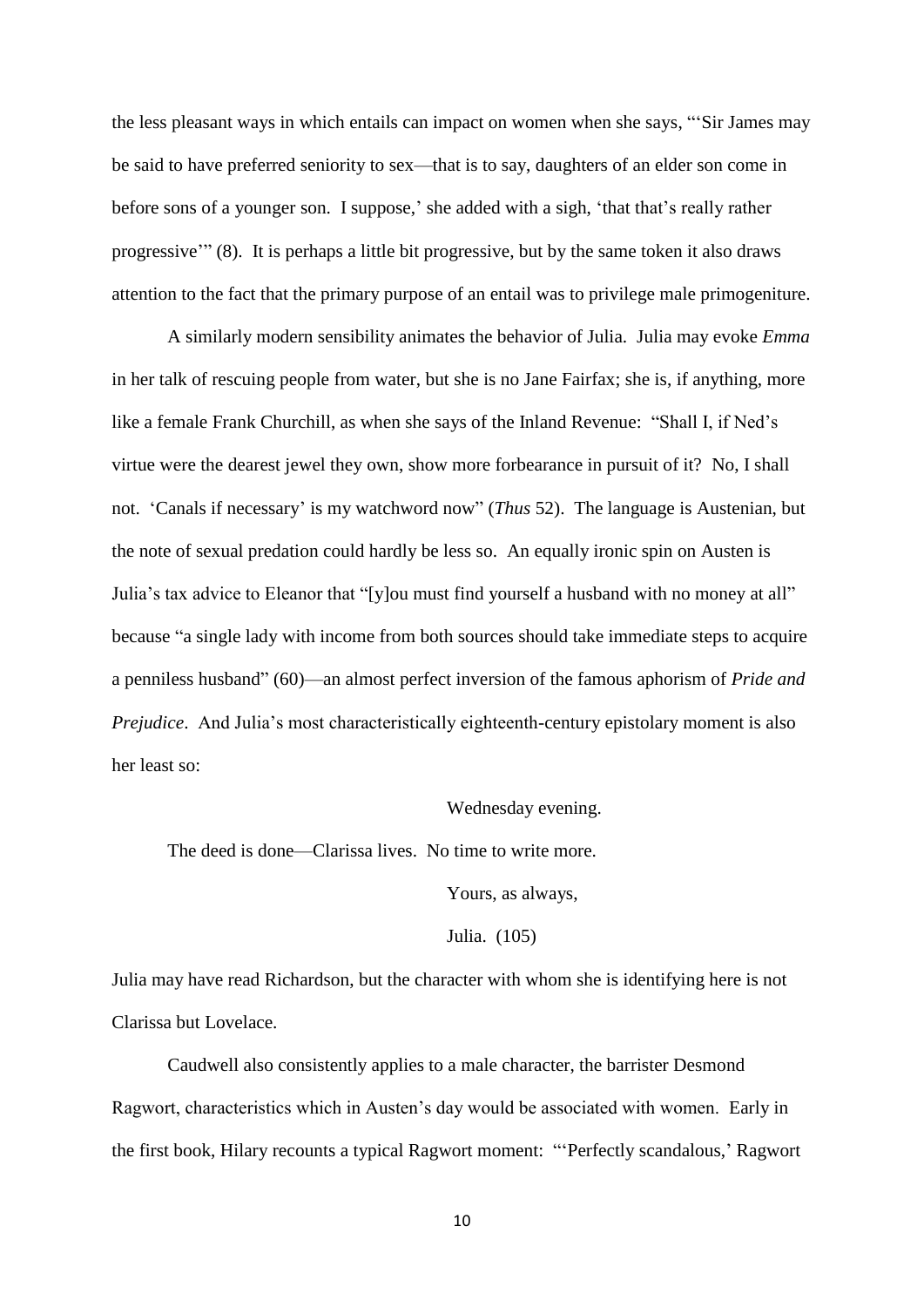the less pleasant ways in which entails can impact on women when she says, "'Sir James may be said to have preferred seniority to sex—that is to say, daughters of an elder son come in before sons of a younger son. I suppose,' she added with a sigh, 'that that's really rather progressive'" (8). It is perhaps a little bit progressive, but by the same token it also draws attention to the fact that the primary purpose of an entail was to privilege male primogeniture.

A similarly modern sensibility animates the behavior of Julia. Julia may evoke *Emma* in her talk of rescuing people from water, but she is no Jane Fairfax; she is, if anything, more like a female Frank Churchill, as when she says of the Inland Revenue: "Shall I, if Ned's virtue were the dearest jewel they own, show more forbearance in pursuit of it? No, I shall not. 'Canals if necessary' is my watchword now" (*Thus* 52). The language is Austenian, but the note of sexual predation could hardly be less so. An equally ironic spin on Austen is Julia's tax advice to Eleanor that "[y]ou must find yourself a husband with no money at all" because "a single lady with income from both sources should take immediate steps to acquire a penniless husband" (60)—an almost perfect inversion of the famous aphorism of *Pride and Prejudice*. And Julia's most characteristically eighteenth-century epistolary moment is also her least so:

#### Wednesday evening.

The deed is done—Clarissa lives. No time to write more.

Yours, as always,

#### Julia. (105)

Julia may have read Richardson, but the character with whom she is identifying here is not Clarissa but Lovelace.

Caudwell also consistently applies to a male character, the barrister Desmond Ragwort, characteristics which in Austen's day would be associated with women. Early in the first book, Hilary recounts a typical Ragwort moment: "'Perfectly scandalous,' Ragwort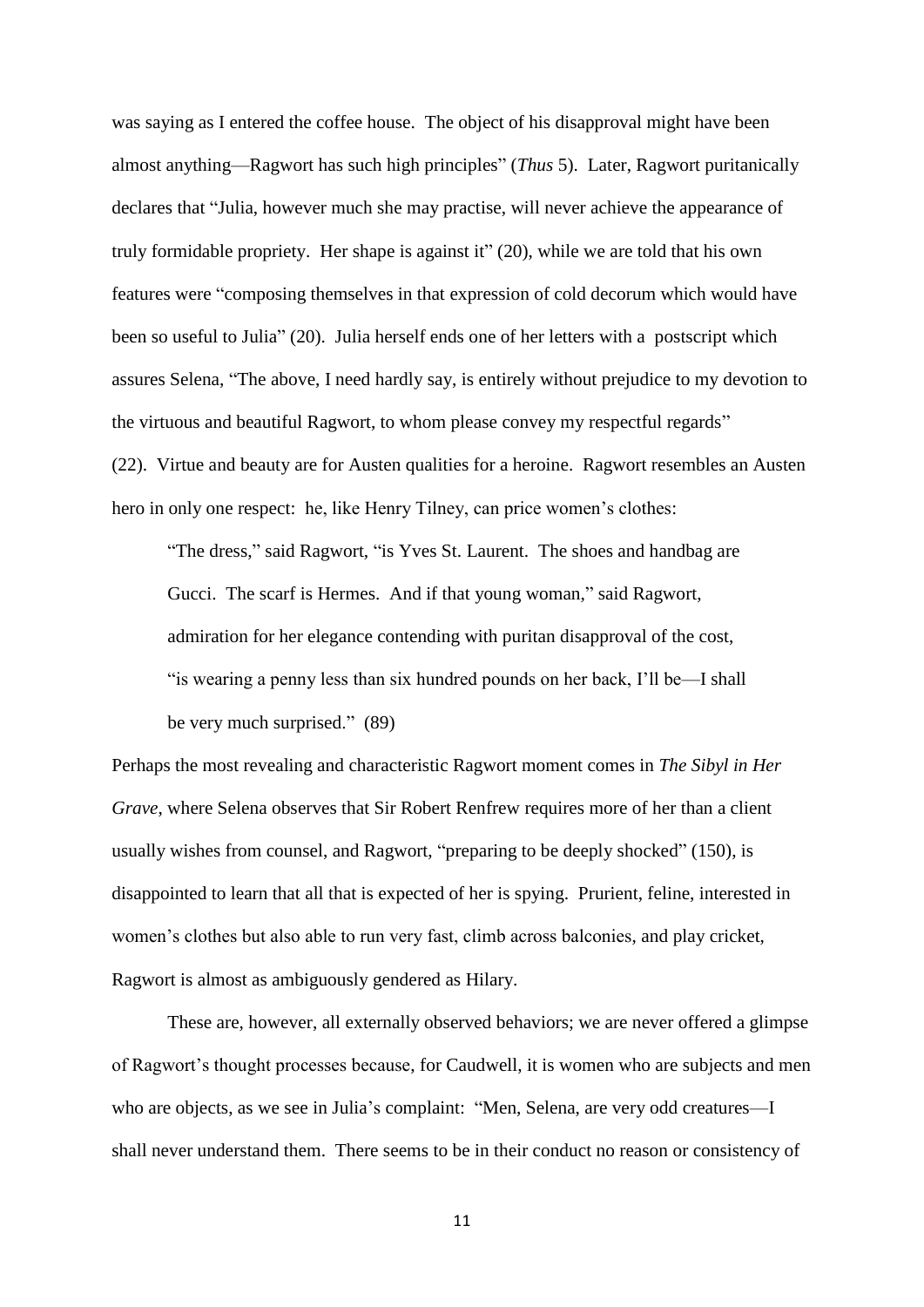was saying as I entered the coffee house. The object of his disapproval might have been almost anything—Ragwort has such high principles" (*Thus* 5). Later, Ragwort puritanically declares that "Julia, however much she may practise, will never achieve the appearance of truly formidable propriety. Her shape is against it" (20), while we are told that his own features were "composing themselves in that expression of cold decorum which would have been so useful to Julia" (20). Julia herself ends one of her letters with a postscript which assures Selena, "The above, I need hardly say, is entirely without prejudice to my devotion to the virtuous and beautiful Ragwort, to whom please convey my respectful regards" (22). Virtue and beauty are for Austen qualities for a heroine. Ragwort resembles an Austen hero in only one respect: he, like Henry Tilney, can price women's clothes:

"The dress," said Ragwort, "is Yves St. Laurent. The shoes and handbag are Gucci. The scarf is Hermes. And if that young woman," said Ragwort, admiration for her elegance contending with puritan disapproval of the cost, "is wearing a penny less than six hundred pounds on her back, I'll be—I shall be very much surprised." (89)

Perhaps the most revealing and characteristic Ragwort moment comes in *The Sibyl in Her Grave*, where Selena observes that Sir Robert Renfrew requires more of her than a client usually wishes from counsel, and Ragwort, "preparing to be deeply shocked" (150), is disappointed to learn that all that is expected of her is spying. Prurient, feline, interested in women's clothes but also able to run very fast, climb across balconies, and play cricket, Ragwort is almost as ambiguously gendered as Hilary.

These are, however, all externally observed behaviors; we are never offered a glimpse of Ragwort's thought processes because, for Caudwell, it is women who are subjects and men who are objects, as we see in Julia's complaint: "Men, Selena, are very odd creatures—I shall never understand them. There seems to be in their conduct no reason or consistency of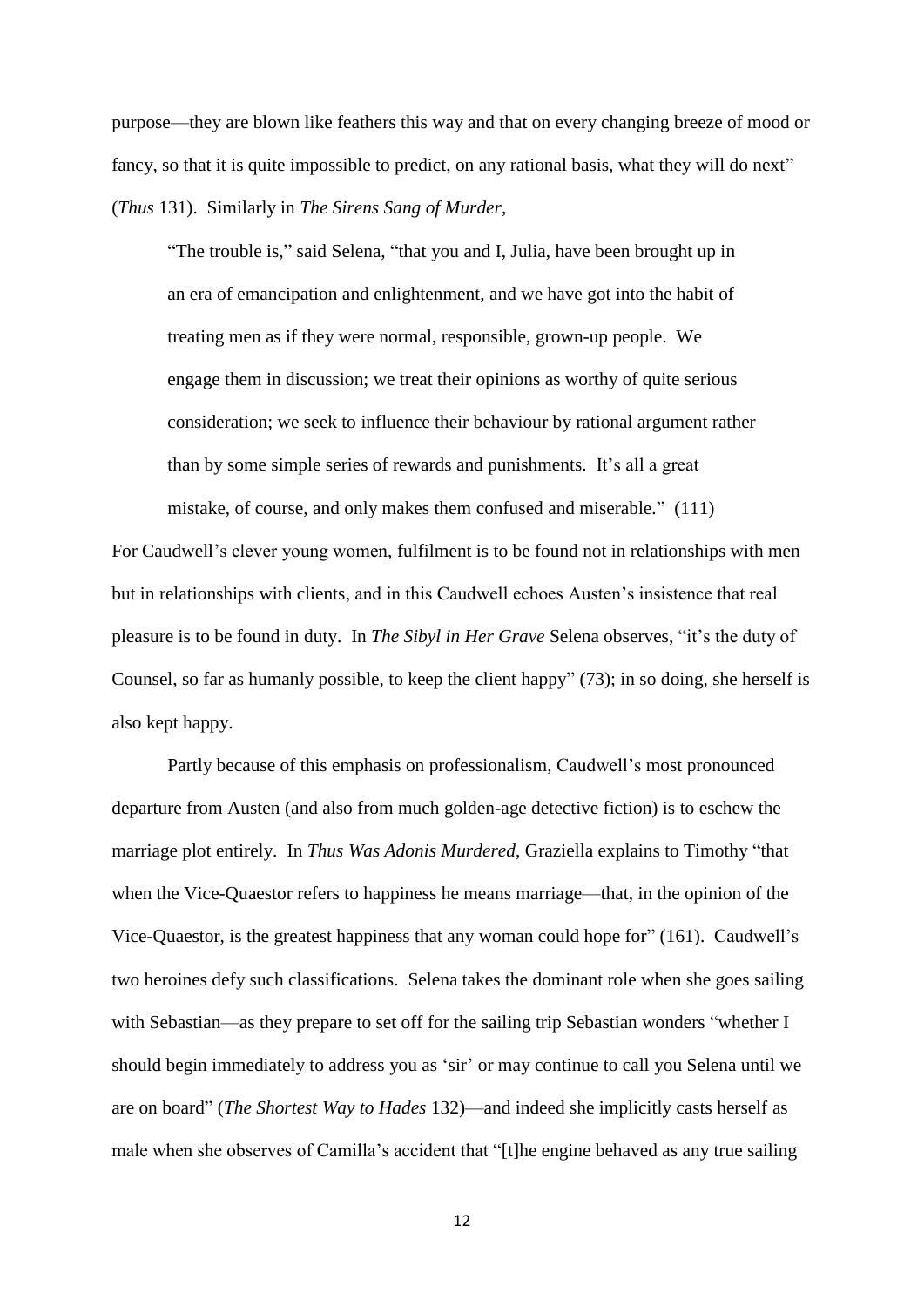purpose—they are blown like feathers this way and that on every changing breeze of mood or fancy, so that it is quite impossible to predict, on any rational basis, what they will do next" (*Thus* 131). Similarly in *The Sirens Sang of Murder*,

"The trouble is," said Selena, "that you and I, Julia, have been brought up in an era of emancipation and enlightenment, and we have got into the habit of treating men as if they were normal, responsible, grown-up people. We engage them in discussion; we treat their opinions as worthy of quite serious consideration; we seek to influence their behaviour by rational argument rather than by some simple series of rewards and punishments. It's all a great

For Caudwell's clever young women, fulfilment is to be found not in relationships with men but in relationships with clients, and in this Caudwell echoes Austen's insistence that real pleasure is to be found in duty. In *The Sibyl in Her Grave* Selena observes, "it's the duty of Counsel, so far as humanly possible, to keep the client happy" (73); in so doing, she herself is also kept happy.

mistake, of course, and only makes them confused and miserable." (111)

Partly because of this emphasis on professionalism, Caudwell's most pronounced departure from Austen (and also from much golden-age detective fiction) is to eschew the marriage plot entirely. In *Thus Was Adonis Murdered*, Graziella explains to Timothy "that when the Vice-Quaestor refers to happiness he means marriage—that, in the opinion of the Vice-Quaestor, is the greatest happiness that any woman could hope for" (161). Caudwell's two heroines defy such classifications. Selena takes the dominant role when she goes sailing with Sebastian—as they prepare to set off for the sailing trip Sebastian wonders "whether I should begin immediately to address you as 'sir' or may continue to call you Selena until we are on board" (*The Shortest Way to Hades* 132)—and indeed she implicitly casts herself as male when she observes of Camilla's accident that "[t]he engine behaved as any true sailing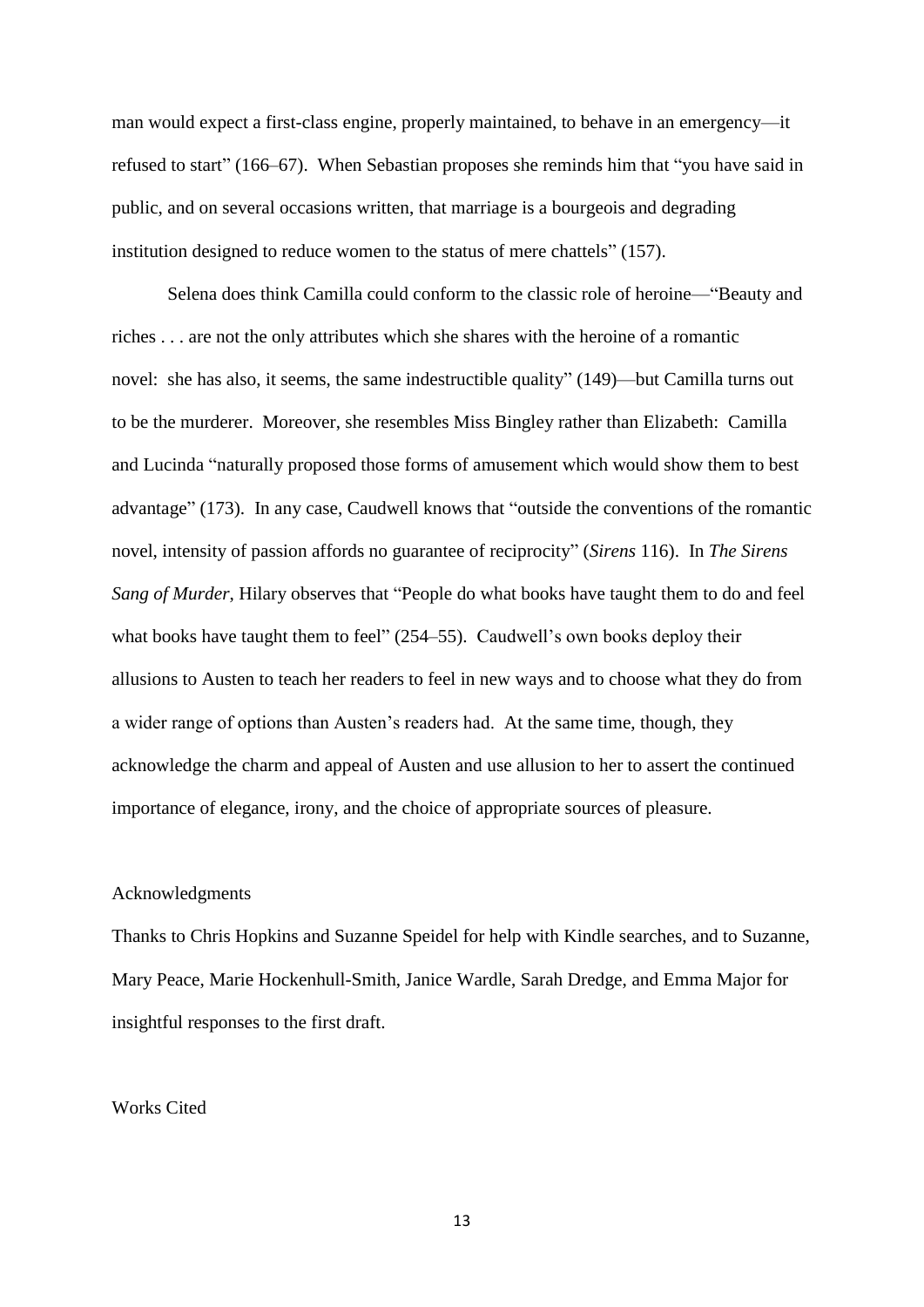man would expect a first-class engine, properly maintained, to behave in an emergency—it refused to start" (166–67). When Sebastian proposes she reminds him that "you have said in public, and on several occasions written, that marriage is a bourgeois and degrading institution designed to reduce women to the status of mere chattels" (157).

Selena does think Camilla could conform to the classic role of heroine—"Beauty and riches . . . are not the only attributes which she shares with the heroine of a romantic novel: she has also, it seems, the same indestructible quality" (149)—but Camilla turns out to be the murderer. Moreover, she resembles Miss Bingley rather than Elizabeth: Camilla and Lucinda "naturally proposed those forms of amusement which would show them to best advantage" (173). In any case, Caudwell knows that "outside the conventions of the romantic novel, intensity of passion affords no guarantee of reciprocity" (*Sirens* 116). In *The Sirens Sang of Murder*, Hilary observes that "People do what books have taught them to do and feel what books have taught them to feel" (254–55). Caudwell's own books deploy their allusions to Austen to teach her readers to feel in new ways and to choose what they do from a wider range of options than Austen's readers had. At the same time, though, they acknowledge the charm and appeal of Austen and use allusion to her to assert the continued importance of elegance, irony, and the choice of appropriate sources of pleasure.

#### Acknowledgments

Thanks to Chris Hopkins and Suzanne Speidel for help with Kindle searches, and to Suzanne, Mary Peace, Marie Hockenhull-Smith, Janice Wardle, Sarah Dredge, and Emma Major for insightful responses to the first draft.

#### Works Cited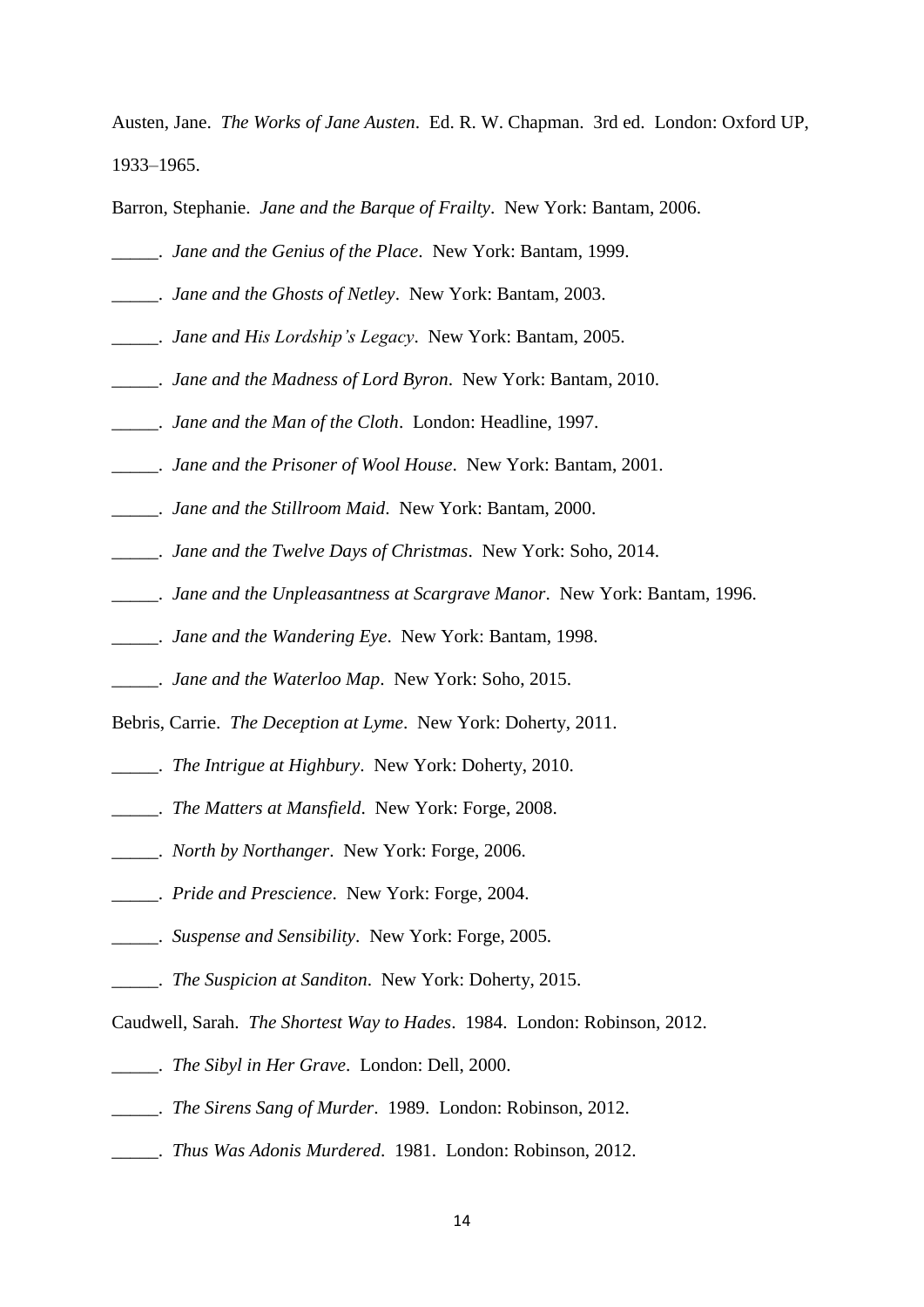Austen, Jane. *The Works of Jane Austen*. Ed. R. W. Chapman. 3rd ed. London: Oxford UP, 1933–1965.

Barron, Stephanie. *Jane and the Barque of Frailty*. New York: Bantam, 2006.

\_\_\_\_\_. *Jane and the Genius of the Place*. New York: Bantam, 1999.

- \_\_\_\_\_. *Jane and the Ghosts of Netley*. New York: Bantam, 2003.
- \_\_\_\_\_. *Jane and His Lordship's Legacy*. New York: Bantam, 2005.
- \_\_\_\_\_. *Jane and the Madness of Lord Byron*. New York: Bantam, 2010.
- \_\_\_\_\_. *Jane and the Man of the Cloth*. London: Headline, 1997.
- \_\_\_\_\_. *Jane and the Prisoner of Wool House*. New York: Bantam, 2001.
- \_\_\_\_\_. *Jane and the Stillroom Maid*. New York: Bantam, 2000.
- \_\_\_\_\_. *Jane and the Twelve Days of Christmas*. New York: Soho, 2014.
- \_\_\_\_\_. *Jane and the Unpleasantness at Scargrave Manor*. New York: Bantam, 1996.
- \_\_\_\_\_. *Jane and the Wandering Eye*. New York: Bantam, 1998.
- \_\_\_\_\_. *Jane and the Waterloo Map*. New York: Soho, 2015.
- Bebris, Carrie. *The Deception at Lyme*. New York: Doherty, 2011.
- \_\_\_\_\_. *The Intrigue at Highbury*. New York: Doherty, 2010.
- \_\_\_\_\_. *The Matters at Mansfield*. New York: Forge, 2008.
- \_\_\_\_\_. *North by Northanger*. New York: Forge, 2006.
- \_\_\_\_\_. *Pride and Prescience*. New York: Forge, 2004.
- \_\_\_\_\_. *Suspense and Sensibility*. New York: Forge, 2005.
- \_\_\_\_\_. *The Suspicion at Sanditon*. New York: Doherty, 2015.
- Caudwell, Sarah. *The Shortest Way to Hades*. 1984. London: Robinson, 2012.
- \_\_\_\_\_. *The Sibyl in Her Grave*. London: Dell, 2000.
- \_\_\_\_\_. *The Sirens Sang of Murder*. 1989. London: Robinson, 2012.
- \_\_\_\_\_. *Thus Was Adonis Murdered*. 1981. London: Robinson, 2012.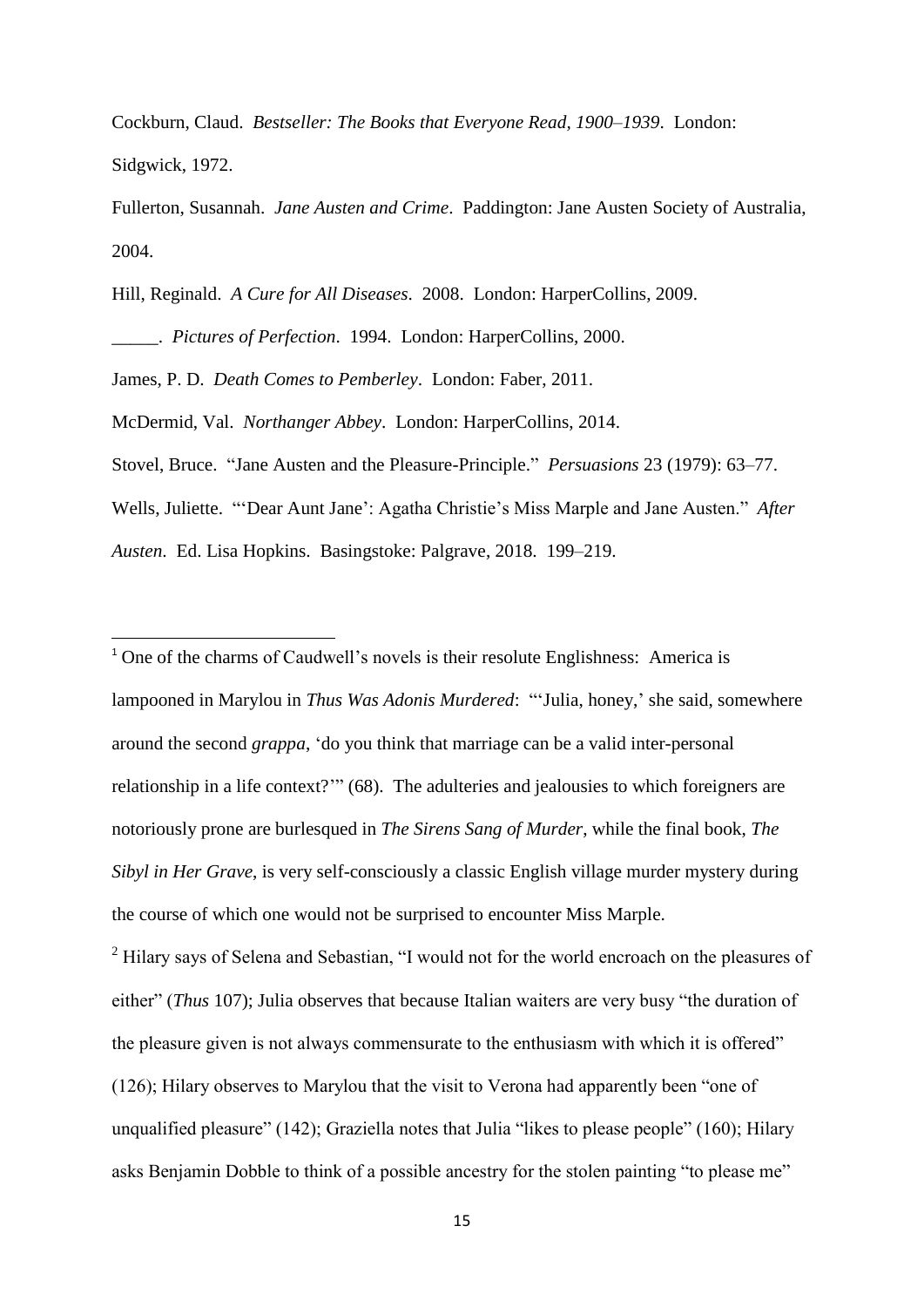Cockburn, Claud. *Bestseller: The Books that Everyone Read, 1900*–*1939*. London: Sidgwick, 1972.

Fullerton, Susannah. *Jane Austen and Crime*. Paddington: Jane Austen Society of Australia, 2004.

Hill, Reginald. *A Cure for All Diseases*. 2008. London: HarperCollins, 2009.

\_\_\_\_\_. *Pictures of Perfection*. 1994. London: HarperCollins, 2000.

James, P. D. *Death Comes to Pemberley*. London: Faber, 2011.

**.** 

McDermid, Val. *Northanger Abbey*. London: HarperCollins, 2014.

Stovel, Bruce. "Jane Austen and the Pleasure-Principle." *Persuasions* 23 (1979): 63–77.

Wells, Juliette. "'Dear Aunt Jane': Agatha Christie's Miss Marple and Jane Austen." *After Austen*. Ed. Lisa Hopkins. Basingstoke: Palgrave, 2018. 199–219.

<sup>1</sup> One of the charms of Caudwell's novels is their resolute Englishness: America is lampooned in Marylou in *Thus Was Adonis Murdered*: "'Julia, honey,' she said, somewhere around the second *grappa*, 'do you think that marriage can be a valid inter-personal relationship in a life context?'" (68). The adulteries and jealousies to which foreigners are notoriously prone are burlesqued in *The Sirens Sang of Murder*, while the final book, *The Sibyl in Her Grave*, is very self-consciously a classic English village murder mystery during the course of which one would not be surprised to encounter Miss Marple.

<sup>2</sup> Hilary says of Selena and Sebastian, "I would not for the world encroach on the pleasures of either" (*Thus* 107); Julia observes that because Italian waiters are very busy "the duration of the pleasure given is not always commensurate to the enthusiasm with which it is offered" (126); Hilary observes to Marylou that the visit to Verona had apparently been "one of unqualified pleasure" (142); Graziella notes that Julia "likes to please people" (160); Hilary asks Benjamin Dobble to think of a possible ancestry for the stolen painting "to please me"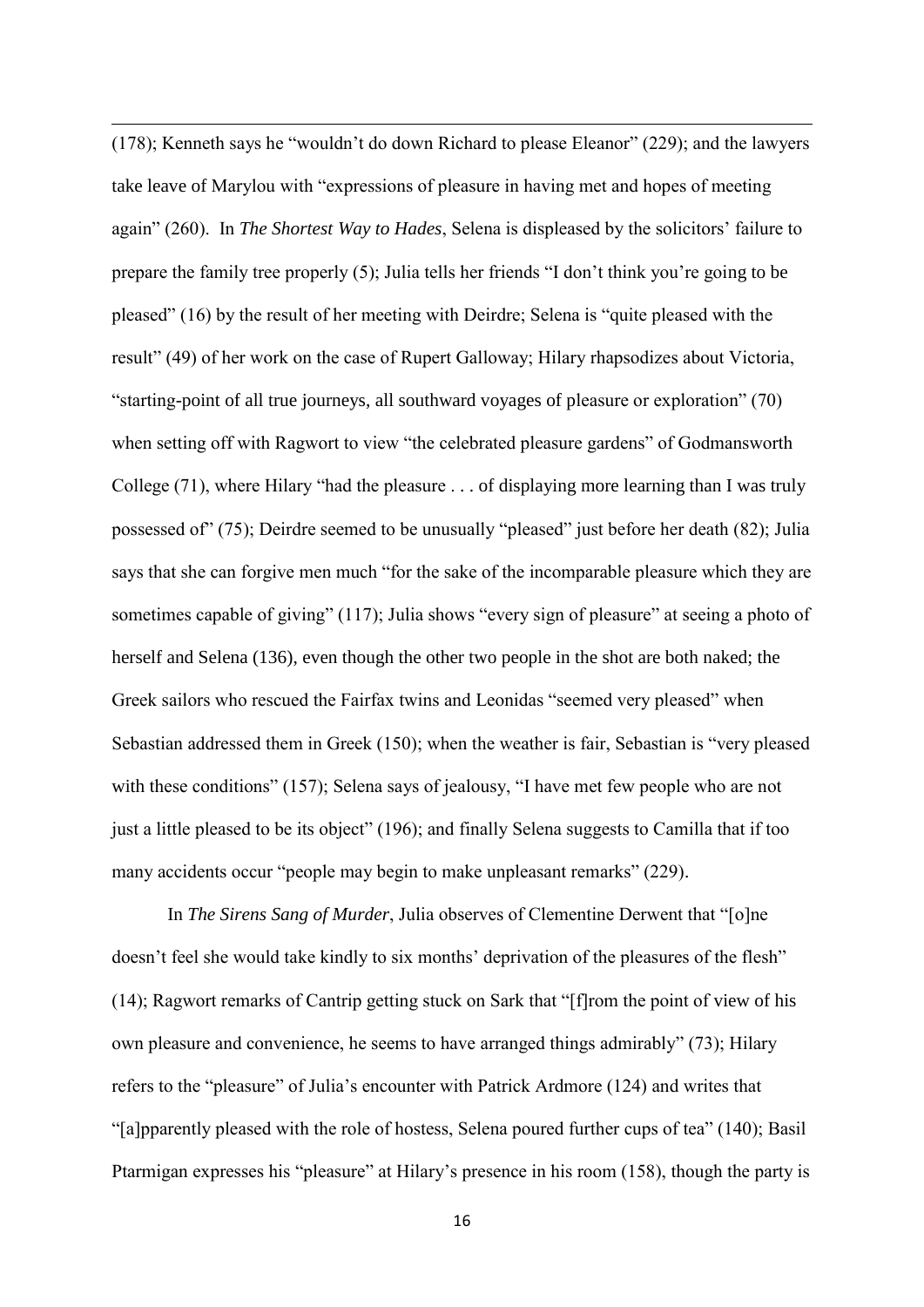(178); Kenneth says he "wouldn't do down Richard to please Eleanor" (229); and the lawyers take leave of Marylou with "expressions of pleasure in having met and hopes of meeting again" (260). In *The Shortest Way to Hades*, Selena is displeased by the solicitors' failure to prepare the family tree properly (5); Julia tells her friends "I don't think you're going to be pleased" (16) by the result of her meeting with Deirdre; Selena is "quite pleased with the result" (49) of her work on the case of Rupert Galloway; Hilary rhapsodizes about Victoria, "starting-point of all true journeys, all southward voyages of pleasure or exploration" (70) when setting off with Ragwort to view "the celebrated pleasure gardens" of Godmansworth College (71), where Hilary "had the pleasure . . . of displaying more learning than I was truly possessed of" (75); Deirdre seemed to be unusually "pleased" just before her death (82); Julia says that she can forgive men much "for the sake of the incomparable pleasure which they are sometimes capable of giving" (117); Julia shows "every sign of pleasure" at seeing a photo of herself and Selena (136), even though the other two people in the shot are both naked; the Greek sailors who rescued the Fairfax twins and Leonidas "seemed very pleased" when Sebastian addressed them in Greek (150); when the weather is fair, Sebastian is "very pleased with these conditions" (157); Selena says of jealousy, "I have met few people who are not just a little pleased to be its object" (196); and finally Selena suggests to Camilla that if too many accidents occur "people may begin to make unpleasant remarks" (229).

1

In *The Sirens Sang of Murder*, Julia observes of Clementine Derwent that "[o]ne doesn't feel she would take kindly to six months' deprivation of the pleasures of the flesh" (14); Ragwort remarks of Cantrip getting stuck on Sark that "[f]rom the point of view of his own pleasure and convenience, he seems to have arranged things admirably" (73); Hilary refers to the "pleasure" of Julia's encounter with Patrick Ardmore (124) and writes that "[a]pparently pleased with the role of hostess, Selena poured further cups of tea" (140); Basil Ptarmigan expresses his "pleasure" at Hilary's presence in his room (158), though the party is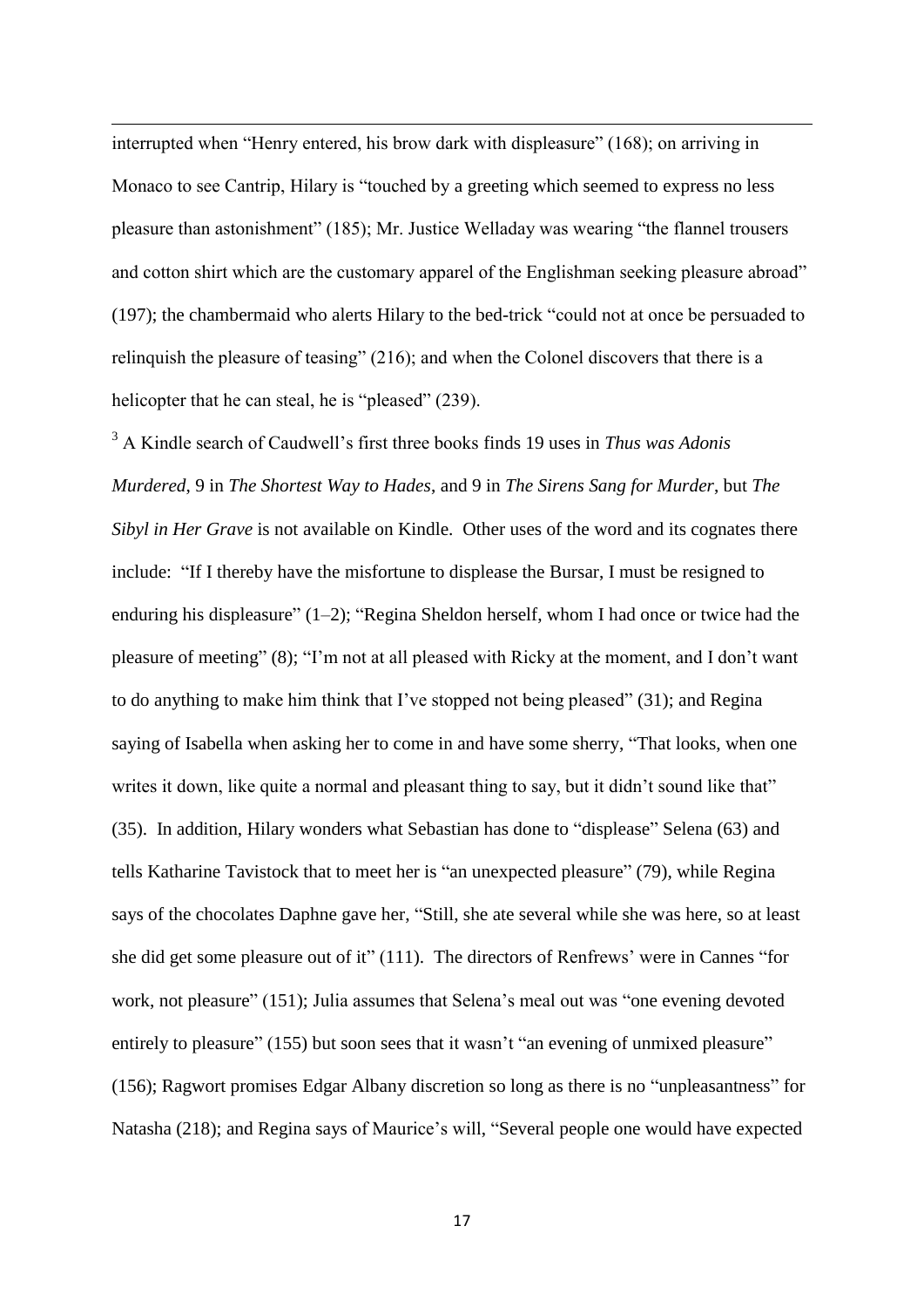interrupted when "Henry entered, his brow dark with displeasure" (168); on arriving in Monaco to see Cantrip, Hilary is "touched by a greeting which seemed to express no less pleasure than astonishment" (185); Mr. Justice Welladay was wearing "the flannel trousers and cotton shirt which are the customary apparel of the Englishman seeking pleasure abroad" (197); the chambermaid who alerts Hilary to the bed-trick "could not at once be persuaded to relinquish the pleasure of teasing" (216); and when the Colonel discovers that there is a helicopter that he can steal, he is "pleased" (239).

1

<sup>3</sup> A Kindle search of Caudwell's first three books finds 19 uses in *Thus was Adonis Murdered*, 9 in *The Shortest Way to Hades*, and 9 in *The Sirens Sang for Murder*, but *The Sibyl in Her Grave* is not available on Kindle. Other uses of the word and its cognates there include: "If I thereby have the misfortune to displease the Bursar, I must be resigned to enduring his displeasure" (1–2); "Regina Sheldon herself, whom I had once or twice had the pleasure of meeting" (8); "I'm not at all pleased with Ricky at the moment, and I don't want to do anything to make him think that I've stopped not being pleased" (31); and Regina saying of Isabella when asking her to come in and have some sherry, "That looks, when one writes it down, like quite a normal and pleasant thing to say, but it didn't sound like that" (35). In addition, Hilary wonders what Sebastian has done to "displease" Selena (63) and tells Katharine Tavistock that to meet her is "an unexpected pleasure" (79), while Regina says of the chocolates Daphne gave her, "Still, she ate several while she was here, so at least she did get some pleasure out of it" (111). The directors of Renfrews' were in Cannes "for work, not pleasure" (151); Julia assumes that Selena's meal out was "one evening devoted entirely to pleasure" (155) but soon sees that it wasn't "an evening of unmixed pleasure" (156); Ragwort promises Edgar Albany discretion so long as there is no "unpleasantness" for Natasha (218); and Regina says of Maurice's will, "Several people one would have expected